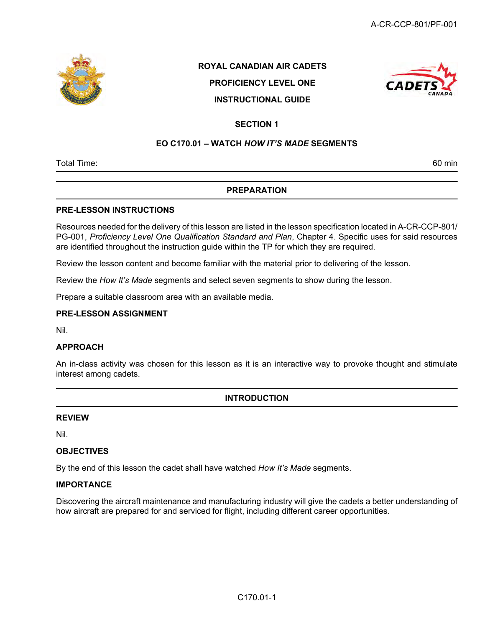

## ROYAL CANADIAN AIR CADETS PROFICIENCY LEVEL ONE INSTRUCTIONAL GUIDE



### SECTION 1

#### EO C170.01 – WATCH HOW IT'S MADE SEGMENTS

Total Time: 60 min

#### PREPARATION

#### PRE-LESSON INSTRUCTIONS

Resources needed for the delivery of this lesson are listed in the lesson specification located in A-CR-CCP-801/ PG-001, Proficiency Level One Qualification Standard and Plan, Chapter 4. Specific uses for said resources are identified throughout the instruction guide within the TP for which they are required.

Review the lesson content and become familiar with the material prior to delivering of the lesson.

Review the How It's Made segments and select seven segments to show during the lesson.

Prepare a suitable classroom area with an available media.

#### PRE-LESSON ASSIGNMENT

Nil.

#### APPROACH

An in-class activity was chosen for this lesson as it is an interactive way to provoke thought and stimulate interest among cadets.

#### INTRODUCTION

#### REVIEW

Nil.

#### **OBJECTIVES**

By the end of this lesson the cadet shall have watched How It's Made segments.

#### **IMPORTANCE**

Discovering the aircraft maintenance and manufacturing industry will give the cadets a better understanding of how aircraft are prepared for and serviced for flight, including different career opportunities.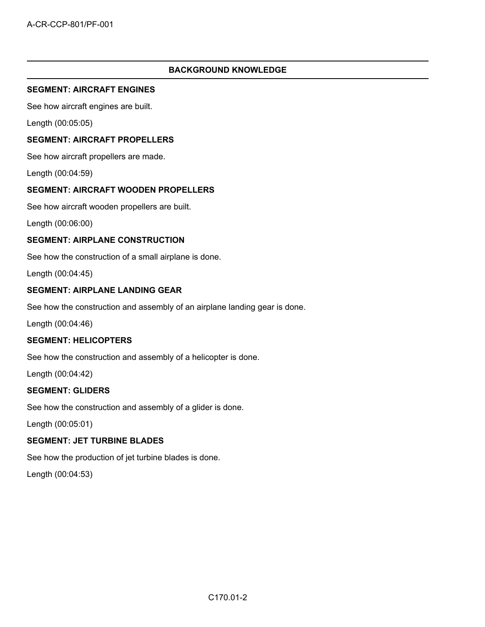### BACKGROUND KNOWLEDGE

#### SEGMENT: AIRCRAFT ENGINES

See how aircraft engines are built.

Length (00:05:05)

#### SEGMENT: AIRCRAFT PROPELLERS

See how aircraft propellers are made.

Length (00:04:59)

#### SEGMENT: AIRCRAFT WOODEN PROPELLERS

See how aircraft wooden propellers are built.

Length (00:06:00)

#### SEGMENT: AIRPLANE CONSTRUCTION

See how the construction of a small airplane is done.

Length (00:04:45)

#### SEGMENT: AIRPLANE LANDING GEAR

See how the construction and assembly of an airplane landing gear is done.

Length (00:04:46)

#### SEGMENT: HELICOPTERS

See how the construction and assembly of a helicopter is done.

Length (00:04:42)

#### SEGMENT: GLIDERS

See how the construction and assembly of a glider is done.

Length (00:05:01)

#### SEGMENT: JET TURBINE BLADES

See how the production of jet turbine blades is done.

Length (00:04:53)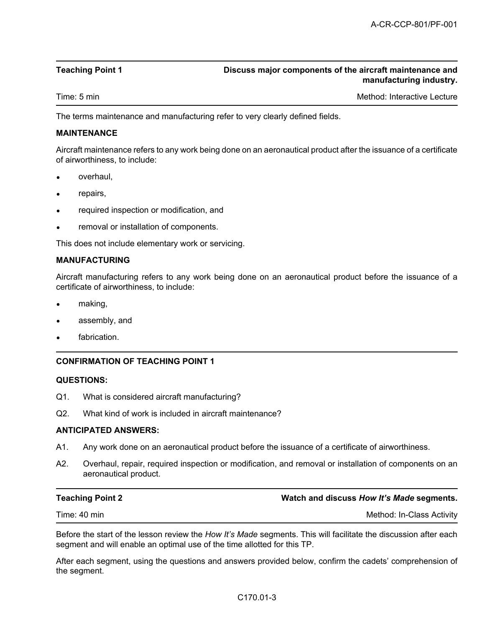#### Teaching Point 1 Discuss major components of the aircraft maintenance and manufacturing industry.

Time: 5 min Method: Interactive Lecture Company of Time: 5 min Method: Interactive Lecture

The terms maintenance and manufacturing refer to very clearly defined fields.

#### MAINTENANCE

Aircraft maintenance refers to any work being done on an aeronautical product after the issuance of a certificate of airworthiness, to include:

- overhaul,
- repairs,
- required inspection or modification, and
- removal or installation of components.

This does not include elementary work or servicing.

#### MANUFACTURING

Aircraft manufacturing refers to any work being done on an aeronautical product before the issuance of a certificate of airworthiness, to include:

- making,
- assembly, and
- fabrication.

#### CONFIRMATION OF TEACHING POINT 1

#### QUESTIONS:

- Q1. What is considered aircraft manufacturing?
- Q2. What kind of work is included in aircraft maintenance?

#### ANTICIPATED ANSWERS:

- A1. Any work done on an aeronautical product before the issuance of a certificate of airworthiness.
- A2. Overhaul, repair, required inspection or modification, and removal or installation of components on an aeronautical product.

| <b>Teaching Point 2</b> | Watch and discuss How It's Made segments. |
|-------------------------|-------------------------------------------|
| Time: 40 min            | Method: In-Class Activity                 |

Before the start of the lesson review the How It's Made segments. This will facilitate the discussion after each segment and will enable an optimal use of the time allotted for this TP.

After each segment, using the questions and answers provided below, confirm the cadets' comprehension of the segment.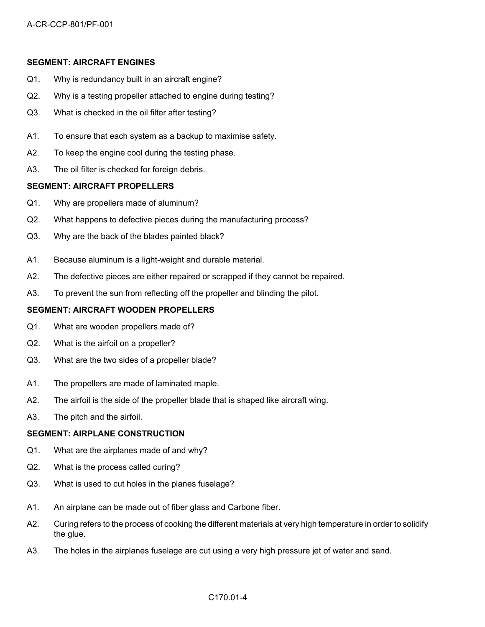#### SEGMENT: AIRCRAFT ENGINES

- Q1. Why is redundancy built in an aircraft engine?
- Q2. Why is a testing propeller attached to engine during testing?
- Q3. What is checked in the oil filter after testing?
- A1. To ensure that each system as a backup to maximise safety.
- A2. To keep the engine cool during the testing phase.
- A3. The oil filter is checked for foreign debris.

#### SEGMENT: AIRCRAFT PROPELLERS

- Q1. Why are propellers made of aluminum?
- Q2. What happens to defective pieces during the manufacturing process?
- Q3. Why are the back of the blades painted black?
- A1. Because aluminum is a light-weight and durable material.
- A2. The defective pieces are either repaired or scrapped if they cannot be repaired.
- A3. To prevent the sun from reflecting off the propeller and blinding the pilot.

#### SEGMENT: AIRCRAFT WOODEN PROPELLERS

- Q1. What are wooden propellers made of?
- Q2. What is the airfoil on a propeller?
- Q3. What are the two sides of a propeller blade?
- A1. The propellers are made of laminated maple.
- A2. The airfoil is the side of the propeller blade that is shaped like aircraft wing.
- A3. The pitch and the airfoil.

#### SEGMENT: AIRPLANE CONSTRUCTION

- Q1. What are the airplanes made of and why?
- Q2. What is the process called curing?
- Q3. What is used to cut holes in the planes fuselage?
- A1. An airplane can be made out of fiber glass and Carbone fiber.
- A2. Curing refers to the process of cooking the different materials at very high temperature in order to solidify the glue.
- A3. The holes in the airplanes fuselage are cut using a very high pressure jet of water and sand.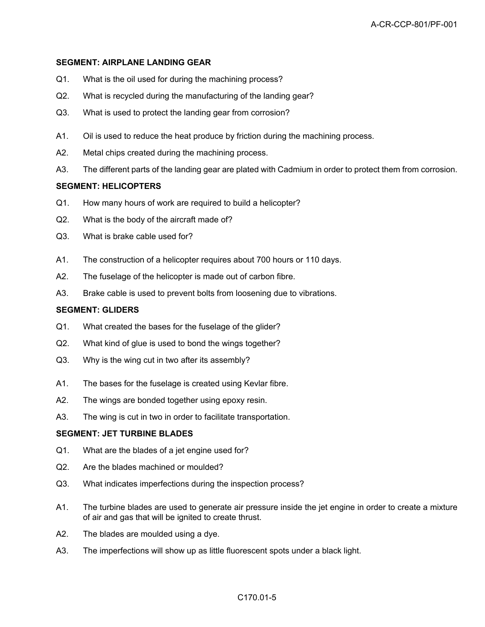#### SEGMENT: AIRPLANE LANDING GEAR

- Q1. What is the oil used for during the machining process?
- Q2. What is recycled during the manufacturing of the landing gear?
- Q3. What is used to protect the landing gear from corrosion?
- A1. Oil is used to reduce the heat produce by friction during the machining process.
- A2. Metal chips created during the machining process.
- A3. The different parts of the landing gear are plated with Cadmium in order to protect them from corrosion.

#### SEGMENT: HELICOPTERS

- Q1. How many hours of work are required to build a helicopter?
- Q2. What is the body of the aircraft made of?
- Q3. What is brake cable used for?
- A1. The construction of a helicopter requires about 700 hours or 110 days.
- A2. The fuselage of the helicopter is made out of carbon fibre.
- A3. Brake cable is used to prevent bolts from loosening due to vibrations.

#### SEGMENT: GLIDERS

- Q1. What created the bases for the fuselage of the glider?
- Q2. What kind of glue is used to bond the wings together?
- Q3. Why is the wing cut in two after its assembly?
- A1. The bases for the fuselage is created using Kevlar fibre.
- A2. The wings are bonded together using epoxy resin.
- A3. The wing is cut in two in order to facilitate transportation.

#### SEGMENT: JET TURBINE BLADES

- Q1. What are the blades of a jet engine used for?
- Q2. Are the blades machined or moulded?
- Q3. What indicates imperfections during the inspection process?
- A1. The turbine blades are used to generate air pressure inside the jet engine in order to create a mixture of air and gas that will be ignited to create thrust.
- A2. The blades are moulded using a dye.
- A3. The imperfections will show up as little fluorescent spots under a black light.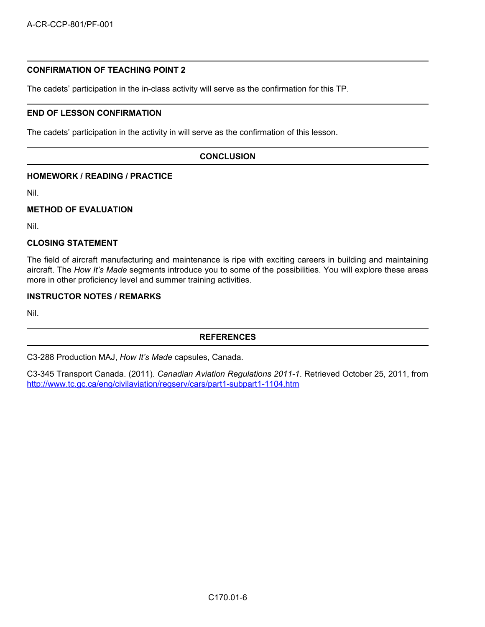#### CONFIRMATION OF TEACHING POINT 2

The cadets' participation in the in-class activity will serve as the confirmation for this TP.

#### END OF LESSON CONFIRMATION

The cadets' participation in the activity in will serve as the confirmation of this lesson.

#### **CONCLUSION**

#### HOMEWORK / READING / PRACTICE

Nil.

#### METHOD OF EVALUATION

Nil.

#### CLOSING STATEMENT

The field of aircraft manufacturing and maintenance is ripe with exciting careers in building and maintaining aircraft. The How It's Made segments introduce you to some of the possibilities. You will explore these areas more in other proficiency level and summer training activities.

#### INSTRUCTOR NOTES / REMARKS

Nil.

#### **REFERENCES**

C3-288 Production MAJ, How It's Made capsules, Canada.

C3-345 Transport Canada. (2011). Canadian Aviation Regulations 2011-1. Retrieved October 25, 2011, from http://www.tc.gc.ca/eng/civilaviation/regserv/cars/part1-subpart1-1104.htm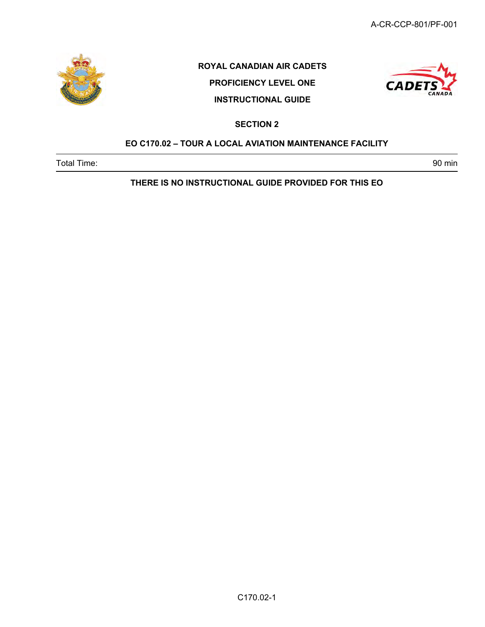

# ROYAL CANADIAN AIR CADETS

PROFICIENCY LEVEL ONE INSTRUCTIONAL GUIDE



SECTION 2

### EO C170.02 – TOUR A LOCAL AVIATION MAINTENANCE FACILITY

Total Time: 90 min

THERE IS NO INSTRUCTIONAL GUIDE PROVIDED FOR THIS EO